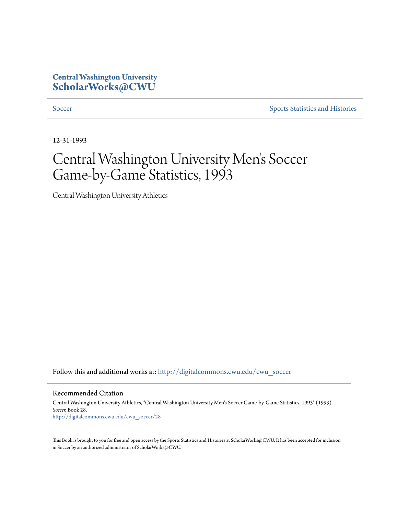#### **Central Washington University [ScholarWorks@CWU](http://digitalcommons.cwu.edu?utm_source=digitalcommons.cwu.edu%2Fcwu_soccer%2F28&utm_medium=PDF&utm_campaign=PDFCoverPages)**

[Soccer](http://digitalcommons.cwu.edu/cwu_soccer?utm_source=digitalcommons.cwu.edu%2Fcwu_soccer%2F28&utm_medium=PDF&utm_campaign=PDFCoverPages) [Sports Statistics and Histories](http://digitalcommons.cwu.edu/cwu_sports_statistics?utm_source=digitalcommons.cwu.edu%2Fcwu_soccer%2F28&utm_medium=PDF&utm_campaign=PDFCoverPages)

12-31-1993

# Central Washington University Men 's Soccer Game-by-Game Statistics, 1993

Central Washington University Athletics

Follow this and additional works at: [http://digitalcommons.cwu.edu/cwu\\_soccer](http://digitalcommons.cwu.edu/cwu_soccer?utm_source=digitalcommons.cwu.edu%2Fcwu_soccer%2F28&utm_medium=PDF&utm_campaign=PDFCoverPages)

Recommended Citation

Central Washington University Athletics, "Central Washington University Men's Soccer Game-by-Game Statistics, 1993" (1993). *Soccer.* Book 28. [http://digitalcommons.cwu.edu/cwu\\_soccer/28](http://digitalcommons.cwu.edu/cwu_soccer/28?utm_source=digitalcommons.cwu.edu%2Fcwu_soccer%2F28&utm_medium=PDF&utm_campaign=PDFCoverPages)

This Book is brought to you for free and open access by the Sports Statistics and Histories at ScholarWorks@CWU. It has been accepted for inclusion in Soccer by an authorized administrator of ScholarWorks@CWU.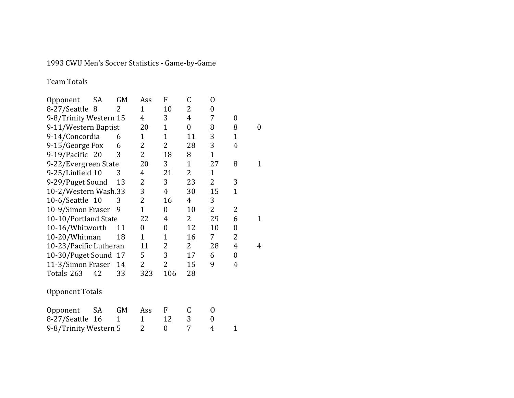1993 CWU Men's Soccer Statistics - Game-by-Game

Team Totals

| Opponent               | SA | GM          | Ass            | F              | $\mathsf C$    | 0              |                  |                  |
|------------------------|----|-------------|----------------|----------------|----------------|----------------|------------------|------------------|
| 8-27/Seattle 8         |    | 2           | $\mathbf{1}$   | 10             | 2              | $\overline{0}$ |                  |                  |
| 9-8/Trinity Western 15 |    |             | $\overline{4}$ | 3              | $\overline{4}$ | 7              | 0                |                  |
| 9-11/Western Baptist   |    |             | 20             | $\mathbf{1}$   | $\overline{0}$ | 8              | 8                | $\boldsymbol{0}$ |
| 9-14/Concordia         |    | 6           | $\mathbf{1}$   | $\mathbf{1}$   | 11             | 3              | $\mathbf{1}$     |                  |
| 9-15/George Fox        |    | 6           | 2              | 2              | 28             | 3              | $\overline{4}$   |                  |
| 9-19/Pacific 20        |    | 3           | $\overline{2}$ | 18             | 8              | $\overline{1}$ |                  |                  |
| 9-22/Evergreen State   |    |             | 20             | 3              | $\mathbf{1}$   | 27             | 8                | $\mathbf{1}$     |
| 9-25/Linfield 10       |    | 3           | 4              | 21             | $\overline{2}$ | $\mathbf 1$    |                  |                  |
| 9-29/Puget Sound       |    | 13          | 2              | 3              | 23             | $\overline{2}$ | 3                |                  |
| 10-2/Western Wash.33   |    |             | 3              | $\overline{4}$ | 30             | 15             | $\mathbf{1}$     |                  |
| 10-6/Seattle 10        |    | 3           | $\overline{2}$ | 16             | 4              | 3              |                  |                  |
| 10-9/Simon Fraser      |    | 9           | $\overline{1}$ | $\overline{0}$ | 10             | $\overline{2}$ | 2                |                  |
| 10-10/Portland State   |    |             | 22             | 4              | $\overline{2}$ | 29             | 6                | $\mathbf{1}$     |
| 10-16/Whitworth        |    | 11          | $\overline{0}$ | $\overline{0}$ | 12             | 10             | $\boldsymbol{0}$ |                  |
| 10-20/Whitman          |    | 18          | $\mathbf{1}$   | $\overline{1}$ | 16             | 7              | $\overline{2}$   |                  |
| 10-23/Pacific Lutheran |    |             | 11             | 2              | $\overline{2}$ | 28             | 4                | $\overline{4}$   |
| 10-30/Puget Sound      |    | 17          | 5              | 3              | 17             | 6              | 0                |                  |
| 11-3/Simon Fraser      |    | 14          | 2              | 2              | 15             | 9              | 4                |                  |
| Totals 263             | 42 | 33          | 323            | 106            | 28             |                |                  |                  |
| <b>Opponent Totals</b> |    |             |                |                |                |                |                  |                  |
| Opponent               | SA | GM          | Ass            | F              | C              | 0              |                  |                  |
| 8-27/Seattle 16        |    | $\mathbf 1$ | $\mathbf{1}$   | 12             | 3              | $\overline{0}$ |                  |                  |
| 9-8/Trinity Western 5  |    |             | 2              | 0              | 7              | 4              | $\mathbf{1}$     |                  |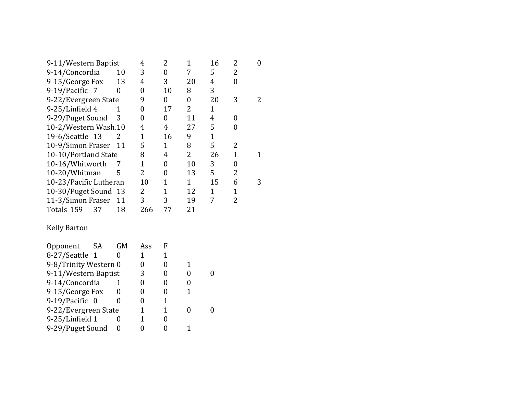| 9-11/Western Baptist   |           | 4              | 2                | $\mathbf{1}$   | 16             | 2              | $\boldsymbol{0}$ |
|------------------------|-----------|----------------|------------------|----------------|----------------|----------------|------------------|
| 9-14/Concordia         | 10        | 3              | $\boldsymbol{0}$ | 7              | 5              | 2              |                  |
| 9-15/George Fox        | 13        | 4              | 3                | 20             | 4              | 0              |                  |
| 9-19/Pacific 7         | 0         | 0              | 10               | 8              | 3              |                |                  |
| 9-22/Evergreen State   |           | 9              | $\boldsymbol{0}$ | $\overline{0}$ | 20             | 3              | $\overline{c}$   |
| 9-25/Linfield 4        | 1         | 0              | 17               | 2              | $\mathbf{1}$   |                |                  |
| 9-29/Puget Sound       | 3         | 0              | $\overline{0}$   | 11             | $\overline{4}$ | 0              |                  |
| 10-2/Western Wash.10   |           | 4              | 4                | 27             | 5              | 0              |                  |
| 19-6/Seattle 13        | 2         | 1              | 16               | 9              | $\mathbf{1}$   |                |                  |
| 10-9/Simon Fraser      | 11        | 5              | $\mathbf{1}$     | 8              | 5              | 2              |                  |
| 10-10/Portland State   |           | 8              | 4                | $\overline{2}$ | 26             | $\mathbf{1}$   | 1                |
| 10-16/Whitworth        |           | $\mathbf 1$    | $\overline{0}$   | 10             | 3              | $\overline{0}$ |                  |
| 10-20/Whitman          | 5         | $\overline{2}$ | 0                | 13             | 5              | $\overline{2}$ |                  |
| 10-23/Pacific Lutheran |           | 10             | $\mathbf{1}$     | $\mathbf{1}$   | 15             | 6              | 3                |
| 10-30/Puget Sound 13   |           | 2              | $\mathbf{1}$     | 12             | $\mathbf{1}$   | $\mathbf{1}$   |                  |
| 11-3/Simon Fraser      | 11        | 3              | 3                | 19             | 7              | 2              |                  |
| Totals 159<br>37       | 18        | 266            | 77               | 21             |                |                |                  |
| <b>Kelly Barton</b>    |           |                |                  |                |                |                |                  |
| SA<br>Opponent         | <b>GM</b> | Ass            | F                |                |                |                |                  |
| 8-27/Seattle 1         | 0         | 1              | $\mathbf{1}$     |                |                |                |                  |
| 9-8/Trinity Western 0  |           | 0              | $\boldsymbol{0}$ | $\mathbf{1}$   |                |                |                  |
| 9-11/Western Baptist   |           | 3              | $\boldsymbol{0}$ | 0              | 0              |                |                  |

| 9-8/Trinity Western 0 |   |  |  |
|-----------------------|---|--|--|
| 9-11/Western Baptist  | 3 |  |  |
| 9-14/Concordia        |   |  |  |
| 9-15/George Fox       |   |  |  |
| 9-19/Pacific 0        |   |  |  |
| 9-22/Evergreen State  |   |  |  |
| 9-25/Linfield 1       |   |  |  |
| 9-29/Puget Sound      |   |  |  |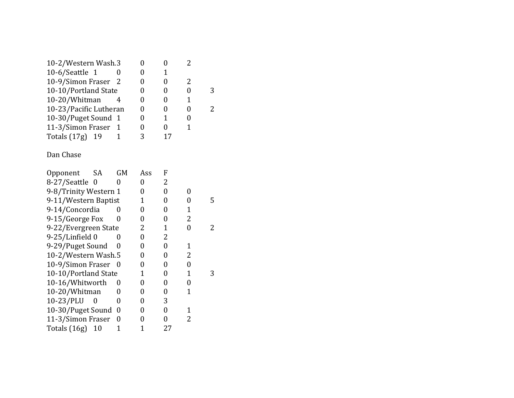| 10-2/Western Wash.3              |                  | 0              | 0                | 2              |   |
|----------------------------------|------------------|----------------|------------------|----------------|---|
| 10-6/Seattle 1                   | 0                | $\overline{0}$ | $\overline{1}$   |                |   |
| 10-9/Simon Fraser                | 2                | $\overline{0}$ | 0                | $\overline{2}$ |   |
| 10-10/Portland State             |                  | $\overline{0}$ | $\overline{0}$   | $\overline{0}$ | 3 |
| 10-20/Whitman                    | 4                | $\overline{0}$ | 0                | 1              |   |
| 10-23/Pacific Lutheran           |                  | 0              | 0                | 0              | 2 |
| 10-30/Puget Sound                | $\mathbf 1$      | 0              | $\overline{1}$   | 0              |   |
| 11-3/Simon Fraser                | 1                | $\overline{0}$ | $\boldsymbol{0}$ | $\overline{1}$ |   |
| Totals (17g)<br>19               | $\overline{1}$   | 3              | 17               |                |   |
| Dan Chase                        |                  |                |                  |                |   |
| SA<br>Opponent                   | <b>GM</b>        | Ass            | F                |                |   |
| 8-27/Seattle<br>$\boldsymbol{0}$ | 0                | $\overline{0}$ | 2                |                |   |
| 9-8/Trinity Western 1            |                  | $\overline{0}$ | $\overline{0}$   | $\overline{0}$ |   |
| 9-11/Western Baptist             |                  | $\mathbf 1$    | $\overline{0}$   | $\overline{0}$ | 5 |
| 9-14/Concordia                   | 0                | $\overline{0}$ | $\overline{0}$   | $\overline{1}$ |   |
| 9-15/George Fox                  | 0                | $\overline{0}$ | 0                | $\overline{c}$ |   |
| 9-22/Evergreen State             |                  | 2              | $\overline{1}$   | $\overline{0}$ | 2 |
| 9-25/Linfield 0                  | 0                | $\overline{0}$ | $\overline{c}$   |                |   |
| 9-29/Puget Sound                 | 0                | $\overline{0}$ | $\overline{0}$   | 1              |   |
| 10-2/Western Wash.5              |                  | $\overline{0}$ | 0                | $\overline{c}$ |   |
| 10-9/Simon Fraser                | 0                | $\overline{0}$ | $\overline{0}$   | $\overline{0}$ |   |
| 10-10/Portland State             |                  | $\overline{1}$ | $\overline{0}$   | $\mathbf 1$    | 3 |
| 10-16/Whitworth                  | 0                | $\overline{0}$ | 0                | $\overline{0}$ |   |
| 10-20/Whitman                    | 0                | $\overline{0}$ | 0                | $\mathbf 1$    |   |
| 10-23/PLU<br>$\boldsymbol{0}$    | 0                | 0              | 3                |                |   |
| 10-30/Puget Sound                | $\boldsymbol{0}$ | 0              | $\boldsymbol{0}$ | $\mathbf 1$    |   |
| 11-3/Simon Fraser                | $\overline{0}$   | $\overline{0}$ | $\overline{0}$   | $\overline{c}$ |   |
| Totals (16g)<br>10               | $\overline{1}$   | 1              | 27               |                |   |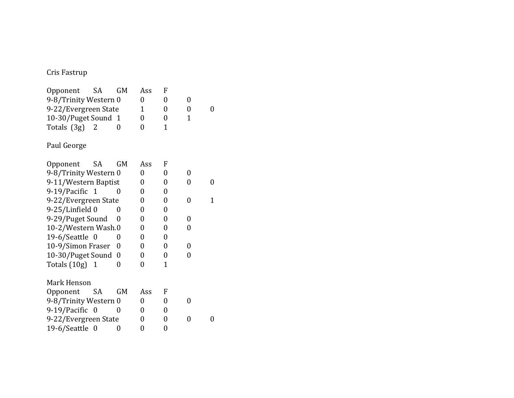## Cris Fastrup

| Opponent                      | SA               | GM        | Ass            | F              |                |   |
|-------------------------------|------------------|-----------|----------------|----------------|----------------|---|
| 9-8/Trinity Western 0         |                  |           | 0              | 0              | $\overline{0}$ |   |
| 9-22/Evergreen State          |                  | 1         | 0              | 0              | 0              |   |
| 10-30/Puget Sound 1           |                  |           | 0              | 0              | $\mathbf 1$    |   |
| Totals (3g)<br>$\overline{2}$ |                  | 0         | 0              | 1              |                |   |
| Paul George                   |                  |           |                |                |                |   |
| Opponent                      | <b>SA</b>        | <b>GM</b> | Ass            | F              |                |   |
| 9-8/Trinity Western 0         |                  |           | 0              | 0              | 0              |   |
| 9-11/Western Baptist          |                  |           | 0              | 0              | 0              | 0 |
| 9-19/Pacific 1                |                  | 0         | 0              | 0              |                |   |
| 9-22/Evergreen State          |                  |           | 0              | 0              | 0              | 1 |
| 9-25/Linfield 0               |                  | 0         | 0              | 0              |                |   |
| 9-29/Puget Sound              |                  | $\Omega$  | 0              | 0              | 0              |   |
| 10-2/Western Wash.0           |                  |           | 0              | 0              | 0              |   |
| 19-6/Seattle 0                |                  | 0         | 0              | 0              |                |   |
| 10-9/Simon Fraser             |                  | 0         | 0              | 0              | $\overline{0}$ |   |
| 10-30/Puget Sound             |                  | 0         | 0              | $\overline{0}$ | 0              |   |
| Totals $(10g)$ 1              |                  | 0         | 0              | 1              |                |   |
| Mark Henson                   |                  |           |                |                |                |   |
| Opponent SA                   |                  | <b>GM</b> | Ass            | F              |                |   |
| 9-8/Trinity Western 0         |                  |           | 0              | 0              | 0              |   |
| 9-19/Pacific 0                |                  | 0         | 0              | 0              |                |   |
| 9-22/Evergreen State          |                  |           | $\overline{0}$ | 0              | 0              | 0 |
| 19-6/Seattle                  | $\boldsymbol{0}$ | 0         | 0              | 0              |                |   |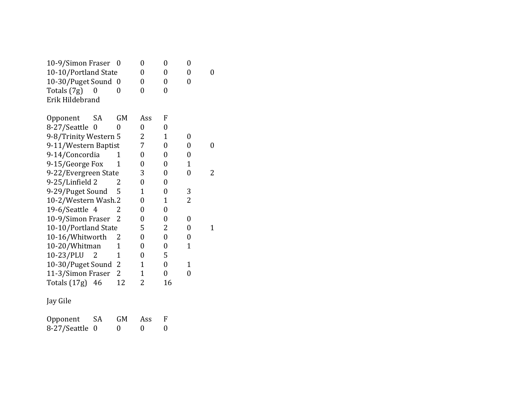| 10-9/Simon Fraser 0                     |              | $\overline{0}$ | 0              | $\overline{0}$ |   |
|-----------------------------------------|--------------|----------------|----------------|----------------|---|
| 10-10/Portland State                    |              | $\overline{0}$ | 0              | $\overline{0}$ | 0 |
| 10-30/Puget Sound 0                     |              | 0              | 0              | 0              |   |
| Totals (7g)<br>$\boldsymbol{0}$         | 0            | $\overline{0}$ | 0              |                |   |
| Erik Hildebrand                         |              |                |                |                |   |
| SA                                      | <b>GM</b>    | Ass            | F              |                |   |
| Opponent                                |              |                |                |                |   |
| 8-27/Seattle<br>0                       | 0            | $\overline{0}$ | 0              |                |   |
| 9-8/Trinity Western 5                   |              | 2              | 1              | 0              |   |
| 9-11/Western Baptist                    |              | 7              | $\overline{0}$ | $\overline{0}$ | 0 |
| 9-14/Concordia                          | 1            | 0              | 0              | 0              |   |
| 9-15/George Fox                         | 1            | 0              | 0              | 1              |   |
| 9-22/Evergreen State                    |              | 3              | 0              | $\overline{0}$ | 2 |
| 9-25/Linfield 2                         | 2            | $\overline{0}$ | $\overline{0}$ |                |   |
| 9-29/Puget Sound                        | 5            | 1              | $\overline{0}$ | 3              |   |
| 10-2/Western Wash.2                     |              | 0              | 1              | $\overline{2}$ |   |
| 19-6/Seattle 4                          | 2            | $\overline{0}$ | $\overline{0}$ |                |   |
| 10-9/Simon Fraser                       | 2            | $\overline{0}$ | $\overline{0}$ | 0              |   |
| 10-10/Portland State                    |              | 5              | 2              | $\overline{0}$ | 1 |
| 10-16/Whitworth                         | 2            | $\overline{0}$ | $\overline{0}$ | 0              |   |
| 10-20/Whitman                           | $\mathbf{1}$ | 0              | 0              | 1              |   |
| 10-23/PLU<br>$\overline{\phantom{0}}^2$ | 1            | 0              | 5              |                |   |
| 10-30/Puget Sound                       | 2            | $\mathbf 1$    | $\overline{0}$ | $\mathbf 1$    |   |
| 11-3/Simon Fraser                       | 2            | 1              | $\overline{0}$ | 0              |   |
| Totals $(17g)$ 46                       | 12           | 2              | 16             |                |   |
| Jay Gile                                |              |                |                |                |   |

| Opponent       | <b>SA</b> | <b>GM</b> | <b>Ass</b> |          |
|----------------|-----------|-----------|------------|----------|
| 8-27/Seattle 0 |           | $\theta$  | -0         | $\theta$ |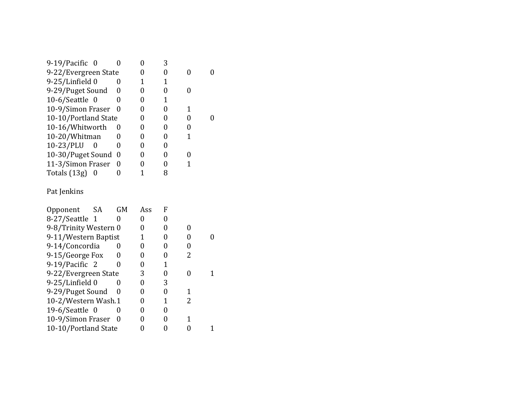| $9-19$ /Pacific 0     |          | 3 |  |
|-----------------------|----------|---|--|
| 9-22/Evergreen State  |          |   |  |
| 9-25/Linfield 0       |          |   |  |
| 9-29/Puget Sound      | $\theta$ |   |  |
| $10-6$ /Seattle 0     |          |   |  |
| 10-9/Simon Fraser     | $\theta$ |   |  |
| 10-10/Portland State  |          |   |  |
| 10-16/Whitworth       | U        |   |  |
| 10-20/Whitman         |          |   |  |
| 10-23/PLU<br>$\theta$ | 0        |   |  |
| 10-30/Puget Sound     | 0        |   |  |
| 11-3/Simon Fraser     | 0        |   |  |
| Totals $(13g)$        |          |   |  |
|                       |          |   |  |

## Pat Jenkins

| <b>SA</b><br>Opponent | GM  | Ass | F |   |  |
|-----------------------|-----|-----|---|---|--|
| 8-27/Seattle 1        |     |     |   |   |  |
| 9-8/Trinity Western 0 |     |     |   |   |  |
| 9-11/Western Baptist  |     |     |   |   |  |
| 9-14/Concordia        |     |     |   |   |  |
| 9-15/George Fox       |     |     |   |   |  |
| 9-19/Pacific 2        |     |     |   |   |  |
| 9-22/Evergreen State  |     | 3   |   |   |  |
| 9-25/Linfield 0       |     |     | 3 |   |  |
| 9-29/Puget Sound      | 0   |     |   | 1 |  |
| 10-2/Western Wash.1   |     |     |   | 2 |  |
| 19-6/Seattle $0$      |     |     |   |   |  |
| 10-9/Simon Fraser     | - 0 |     |   |   |  |
| 10-10/Portland State  |     |     |   |   |  |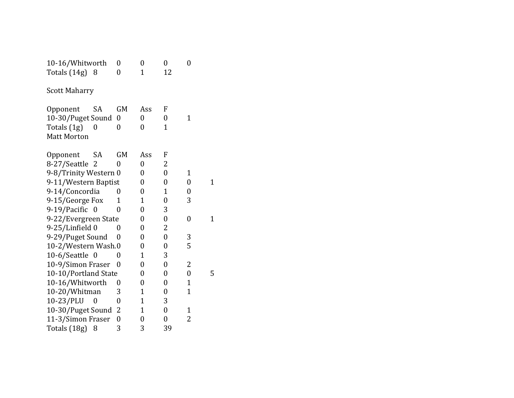| 10-16/Whitworth       |                  | 0                | 0                | 0                | 0                |             |
|-----------------------|------------------|------------------|------------------|------------------|------------------|-------------|
| Totals $(14g)$ 8      |                  | $\overline{0}$   | $\overline{1}$   | 12               |                  |             |
| <b>Scott Maharry</b>  |                  |                  |                  |                  |                  |             |
| Opponent              | SA               | <b>GM</b>        | Ass              | F                |                  |             |
| 10-30/Puget Sound     |                  | 0                | 0                | 0                | 1                |             |
| Totals (1g)           | 0                | 0                | 0                | 1                |                  |             |
| <b>Matt Morton</b>    |                  |                  |                  |                  |                  |             |
| Opponent              | SA               | <b>GM</b>        | Ass              | F                |                  |             |
| 8-27/Seattle          | $\overline{2}$   | 0                | $\overline{0}$   | 2                |                  |             |
| 9-8/Trinity Western 0 |                  |                  | 0                | $\boldsymbol{0}$ | 1                |             |
| 9-11/Western Baptist  |                  |                  | 0                | 0                | $\overline{0}$   | $\mathbf 1$ |
| 9-14/Concordia        |                  | 0                | $\overline{0}$   | 1                | 0                |             |
| 9-15/George Fox       |                  | 1                | $\overline{1}$   | 0                | 3                |             |
| 9-19/Pacific          | $\boldsymbol{0}$ | 0                | $\boldsymbol{0}$ | 3                |                  |             |
| 9-22/Evergreen State  |                  |                  | 0                | 0                | 0                | 1           |
| 9-25/Linfield 0       |                  | 0                | 0                | 2                |                  |             |
| 9-29/Puget Sound      |                  | 0                | $\overline{0}$   | $\boldsymbol{0}$ | 3                |             |
| 10-2/Western Wash.0   |                  |                  | 0                | $\overline{0}$   | 5                |             |
| 10-6/Seattle 0        |                  | 0                | $\overline{1}$   | 3                |                  |             |
| 10-9/Simon Fraser     |                  | 0                | $\overline{0}$   | $\boldsymbol{0}$ | $\overline{c}$   |             |
| 10-10/Portland State  |                  |                  | 0                | 0                | $\boldsymbol{0}$ | 5           |
| 10-16/Whitworth       |                  | 0                | 0                | 0                | 1                |             |
| 10-20/Whitman         |                  | 3                | $\overline{1}$   | 0                | $\overline{1}$   |             |
| 10-23/PLU             | 0                | 0                | $\mathbf{1}$     | 3                |                  |             |
| 10-30/Puget Sound     |                  | 2                | 1                | $\overline{0}$   | 1                |             |
| 11-3/Simon Fraser     |                  | $\boldsymbol{0}$ | 0                | 0                | 2                |             |
| Totals (18g)          | 8                | 3                | 3                | 39               |                  |             |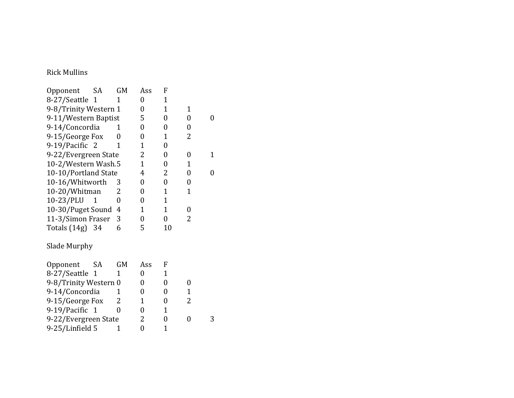## Rick Mullins

| Opponent              | SA          | GM             | Ass            | F                |                |                |
|-----------------------|-------------|----------------|----------------|------------------|----------------|----------------|
| 8-27/Seattle 1        |             | 1              | $\overline{0}$ | $\mathbf{1}$     |                |                |
| 9-8/Trinity Western 1 |             |                | $\overline{0}$ | $\mathbf{1}$     | $\mathbf 1$    |                |
| 9-11/Western Baptist  |             |                | 5              | 0                | $\overline{0}$ | 0              |
| 9-14/Concordia        |             | 1              | $\overline{0}$ | $\overline{0}$   | $\overline{0}$ |                |
| 9-15/George Fox       |             | 0              | $\overline{0}$ | 1                | 2              |                |
| 9-19/Pacific 2        |             | 1              | 1              | $\boldsymbol{0}$ |                |                |
| 9-22/Evergreen State  |             |                | 2              | $\overline{0}$   | $\overline{0}$ | 1              |
| 10-2/Western Wash.5   |             |                | 1              | 0                | $\mathbf 1$    |                |
| 10-10/Portland State  |             |                | 4              | 2                | 0              | $\overline{0}$ |
| 10-16/Whitworth       |             | 3              | 0              | 0                | 0              |                |
| 10-20/Whitman         |             | 2              | $\overline{0}$ | $\mathbf{1}$     | $\mathbf 1$    |                |
| 10-23/PLU             | 1           | $\overline{0}$ | $\overline{0}$ | $\mathbf{1}$     |                |                |
| 10-30/Puget Sound     |             | 4              | 1              | $\mathbf 1$      | 0              |                |
| 11-3/Simon Fraser     |             | 3              | $\overline{0}$ | $\overline{0}$   | 2              |                |
| Totals (14g) 34       |             | 6              | 5              | 10               |                |                |
| Slade Murphy          |             |                |                |                  |                |                |
| Opponent              | SA          | <b>GM</b>      | Ass            | F                |                |                |
| 8-27/Seattle          | $\mathbf 1$ | 1              | $\overline{0}$ | $\mathbf{1}$     |                |                |
| 9-8/Trinity Western 0 |             |                | $\overline{0}$ | $\overline{0}$   | $\overline{0}$ |                |
| 9-14/Concordia        |             | 1              | 0              | $\overline{0}$   | $\mathbf 1$    |                |
| 9-15/George Fox       |             | 2              | 1              | 0                | 2              |                |
| 9-19/Pacific 1        |             | $\theta$       | $\overline{0}$ | $\mathbf{1}$     |                |                |
| 9-22/Evergreen State  |             |                | 2              | 0                | 0              | 3              |
| 9-25/Linfield 5       |             | 1              | 0              | $\mathbf{1}$     |                |                |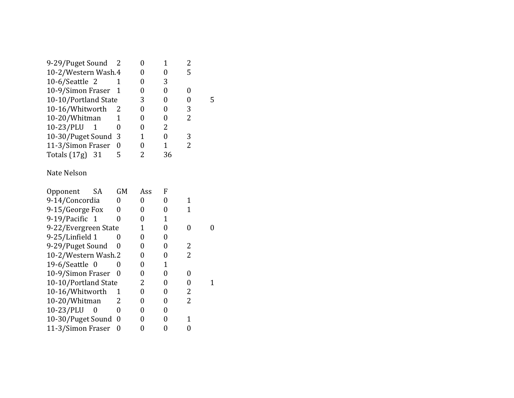| 9-29/Puget Sound     |   |   |    |   |
|----------------------|---|---|----|---|
| 10-2/Western Wash.4  |   |   |    |   |
| $10-6$ /Seattle 2    |   |   | 3  |   |
| 10-9/Simon Fraser 1  |   |   |    |   |
| 10-10/Portland State |   | 3 |    |   |
| 10-16/Whitworth      |   |   |    | 3 |
| 10-20/Whitman        |   |   |    | 2 |
| 10-23/PLU 1          | 0 |   | 2  |   |
| 10-30/Puget Sound    | 3 |   |    | 3 |
| 11-3/Simon Fraser    | 0 |   | 1  | 2 |
| Totals (17g) 31      | 5 |   | 36 |   |
|                      |   |   |    |   |

#### Nate Nelson

| Opponent             | SА | <b>GM</b>    | Ass | F |   |  |
|----------------------|----|--------------|-----|---|---|--|
| 9-14/Concordia       |    |              |     |   |   |  |
| 9-15/George Fox      |    | 0            | 0   |   |   |  |
| 9-19/Pacific 1       |    | $\mathbf{0}$ |     |   |   |  |
| 9-22/Evergreen State |    |              |     |   |   |  |
| 9-25/Linfield 1      |    |              |     |   |   |  |
| 9-29/Puget Sound     |    | $\mathbf{0}$ |     |   | 2 |  |
| 10-2/Western Wash.2  |    |              |     |   | 2 |  |
| 19-6/Seattle $0$     |    |              |     |   |   |  |
| 10-9/Simon Fraser    |    | $\mathbf{0}$ |     |   |   |  |
| 10-10/Portland State |    |              | 2   |   |   |  |
| 10-16/Whitworth      |    |              |     |   | 2 |  |
| 10-20/Whitman        |    | 2            |     |   | 2 |  |
| 10-23/PLU            | O  | $\mathbf{0}$ |     |   |   |  |
| 10-30/Puget Sound    |    | - 0          |     |   |   |  |
| 11-3/Simon Fraser    |    | 0            |     |   |   |  |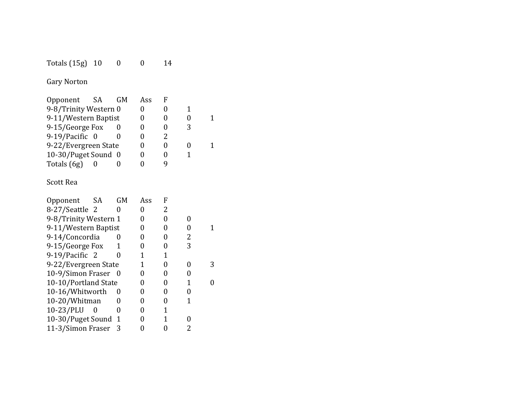| Totals (15g) 10 |  | 14 |
|-----------------|--|----|
|-----------------|--|----|

Gary Norton

| 9-8/Trinity Western 0<br>9-11/Western Baptist<br>9-15/George Fox<br>9-19/Pacific 0<br>9-22/Evergreen State<br>10-30/Puget Sound 0<br>Totals (6g) | Opponent | - SA | GM | Ass |  |  |
|--------------------------------------------------------------------------------------------------------------------------------------------------|----------|------|----|-----|--|--|
|                                                                                                                                                  |          |      |    |     |  |  |
|                                                                                                                                                  |          |      |    |     |  |  |
|                                                                                                                                                  |          |      |    |     |  |  |
|                                                                                                                                                  |          |      |    |     |  |  |
|                                                                                                                                                  |          |      |    |     |  |  |
|                                                                                                                                                  |          |      |    |     |  |  |
|                                                                                                                                                  |          |      |    |     |  |  |

## Scott Rea

| Opponent              | - SA     | <b>GM</b> | Ass | F |   |  |
|-----------------------|----------|-----------|-----|---|---|--|
| 8-27/Seattle 2        |          |           |     | 2 |   |  |
| 9-8/Trinity Western 1 |          |           |     |   |   |  |
| 9-11/Western Baptist  |          |           |     |   |   |  |
| 9-14/Concordia        |          |           |     |   | 2 |  |
| 9-15/George Fox       |          |           |     |   | 3 |  |
| 9-19/Pacific 2        |          |           |     |   |   |  |
| 9-22/Evergreen State  |          |           |     |   |   |  |
| 10-9/Simon Fraser 0   |          |           |     |   |   |  |
| 10-10/Portland State  |          |           |     |   |   |  |
| 10-16/Whitworth       |          | 0         |     |   |   |  |
| 10-20/Whitman         |          |           |     |   |   |  |
| 10-23/PLU             | $\theta$ |           |     |   |   |  |
| 10-30/Puget Sound     |          | 1         |     |   |   |  |
| 11-3/Simon Fraser     |          | 3         |     |   | 2 |  |
|                       |          |           |     |   |   |  |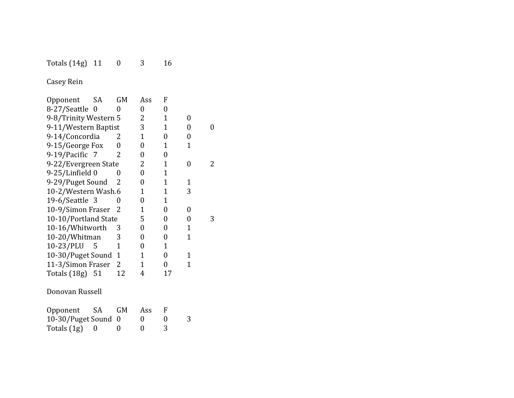#### Totals (14g) 11 0 3 16

Casey Rein

 $Totals (1g) = 0$  0

| Opponent              | SA               | GM             | Ass            | F              |              |   |
|-----------------------|------------------|----------------|----------------|----------------|--------------|---|
| 8-27/Seattle          | $\boldsymbol{0}$ | 0              | 0              | $\overline{0}$ |              |   |
| 9-8/Trinity Western 5 |                  |                | 2              | $\mathbf{1}$   | 0            |   |
| 9-11/Western Baptist  |                  |                | 3              | 1              | 0            | 0 |
| 9-14/Concordia        |                  | 2              | 1              | $\overline{0}$ | 0            |   |
| 9-15/George Fox       |                  | 0              | $\overline{0}$ | 1              | $\mathbf{1}$ |   |
| 9-19/Pacific 7        |                  | 2              | 0              | 0              |              |   |
| 9-22/Evergreen State  |                  |                | 2              | $\mathbf 1$    | 0            | 2 |
| 9-25/Linfield 0       |                  | 0              | 0              | 1              |              |   |
| 9-29/Puget Sound      |                  | 2              | $\overline{0}$ | $\overline{1}$ | $\mathbf{1}$ |   |
| 10-2/Western Wash.6   |                  |                | 1              | 1              | 3            |   |
| 19-6/Seattle 3        |                  | 0              | $\overline{0}$ | 1              |              |   |
| 10-9/Simon Fraser     |                  | 2              | 1              | $\overline{0}$ | 0            |   |
| 10-10/Portland State  |                  |                | 5              | $\overline{0}$ | 0            | 3 |
| 10-16/Whitworth       |                  | 3              | 0              | 0              | 1            |   |
| 10-20/Whitman         |                  | 3              | $\overline{0}$ | $\overline{0}$ | $\mathbf{1}$ |   |
| 10-23/PLU             | 5                | 1              | 0              | 1              |              |   |
| 10-30/Puget Sound     |                  | 1              | 1              | $\overline{0}$ | $\mathbf 1$  |   |
| 11-3/Simon Fraser     |                  | $\overline{2}$ | 1              | 0              | $\mathbf{1}$ |   |
| Totals (18g) 51       |                  | 12             | 4              | 17             |              |   |
| Donovan Russell       |                  |                |                |                |              |   |
| Opponent              | SA               | <b>GM</b>      | Ass            | F              |              |   |
| 10-30/Puget Sound     |                  | 0              | 0              | 0              | 3            |   |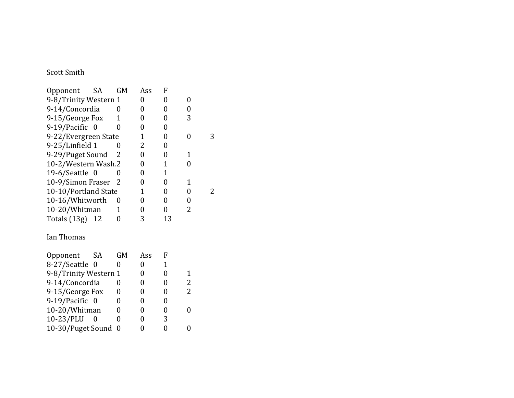#### Scott Smith

| Opponent                    | SA               | GM        | Ass          | F              |   |
|-----------------------------|------------------|-----------|--------------|----------------|---|
| 9-8/Trinity Western 1       |                  |           | 0            | 0              | 0 |
| 9-14/Concordia              |                  | 0         | 0            | $\overline{0}$ | 0 |
| 9-15/George Fox             |                  | 1         | 0            | 0              | 3 |
| 9-19/Pacific 0              |                  | 0         | 0            | 0              |   |
| 9-22/Evergreen State        |                  |           | $\mathbf{1}$ | $\overline{0}$ | 0 |
| 9-25/Linfield 1             |                  | 0         | 2            | 0              |   |
| 9-29/Puget Sound            |                  | 2         | 0            | 0              | 1 |
| 10-2/Western Wash.2         |                  |           | 0            | 1              | 0 |
| $19-6$ /Seattle 0           |                  | 0         | 0            | 1              |   |
| 10-9/Simon Fraser           |                  | 2         | 0            | 0              | 1 |
| 10-10/Portland State        |                  |           | 1            | 0              | 0 |
| 10-16/Whitworth             |                  | 0         | 0            | 0              | 0 |
| 10-20/Whitman               |                  | 1         | 0            | 0              | 2 |
| Totals $(13g)$ 12           |                  | 0         | 3            | 13             |   |
| Ian Thomas                  |                  |           |              |                |   |
| Opponent                    | SA               | <b>GM</b> | Ass          | F              |   |
| 8-27/Seattle                | $\boldsymbol{0}$ | 0         | 0            | 1              |   |
| 9-8/Trinity Western 1       |                  |           | 0            | 0              | 1 |
| 9-14/Concordia              |                  | 0         | 0            | 0              | 2 |
| $\sim$ $\sim$<br>$\sqrt{ }$ |                  |           |              |                | ົ |

| 9-14/Concordia      |   | 0 |   |
|---------------------|---|---|---|
| 9-15/George Fox     |   |   | 2 |
| 9-19/Pacific 0      |   |   |   |
| 10-20/Whitman       |   |   |   |
| 10-23/PLU           | 0 | 3 |   |
| 10-30/Puget Sound 0 |   |   |   |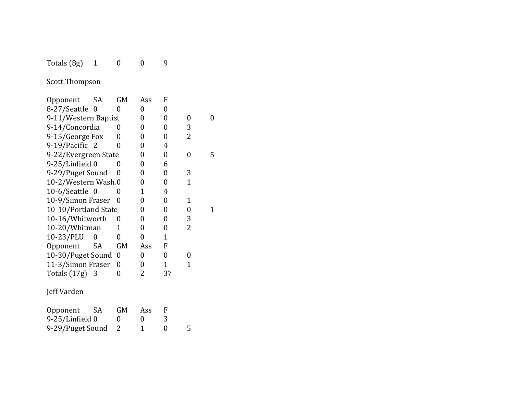#### $Totals (8g)$  1 0 0

Scott Thompson

-29/Puget Sound 2

| Opponent             | SA             | GM             | Ass            | F              |              |   |
|----------------------|----------------|----------------|----------------|----------------|--------------|---|
| 8-27/Seattle         | $\overline{0}$ | 0              | 0              | 0              |              |   |
| 9-11/Western Baptist |                |                | 0              | $\overline{0}$ | 0            | 0 |
| 9-14/Concordia       |                | 0              | 0              | 0              | 3            |   |
| 9-15/George Fox      |                | 0              | 0              | 0              | 2            |   |
| 9-19/Pacific 2       |                | 0              | 0              | 4              |              |   |
| 9-22/Evergreen State |                |                | 0              | 0              | 0            | 5 |
| 9-25/Linfield 0      |                | 0              | 0              | 6              |              |   |
| 9-29/Puget Sound     |                | 0              | 0              | 0              | 3            |   |
| 10-2/Western Wash.0  |                |                | 0              | $\overline{0}$ | $\mathbf{1}$ |   |
| $10-6$ /Seattle 0    |                | 0              | 1              | 4              |              |   |
| 10-9/Simon Fraser    |                | 0              | 0              | $\overline{0}$ | $\mathbf 1$  |   |
| 10-10/Portland State |                |                | 0              | $\overline{0}$ | 0            | 1 |
| 10-16/Whitworth      |                | 0              | 0              | $\overline{0}$ | 3            |   |
| 10-20/Whitman        |                | 1              | 0              | 0              | 2            |   |
| 10-23/PLU            | 0              | 0              | $\overline{0}$ | $\mathbf{1}$   |              |   |
| Opponent             | SA             | GM             | Ass            | F              |              |   |
| 10-30/Puget Sound    |                | 0              | 0              | $\overline{0}$ | 0            |   |
| 11-3/Simon Fraser    |                | $\overline{0}$ | 0              | $\mathbf{1}$   | 1            |   |
| Totals (17g) 3       |                | 0              | 2              | 37             |              |   |
| Jeff Varden          |                |                |                |                |              |   |
| Opponent             | SA             | GM             | Ass            | F              |              |   |
| 9-25/Linfield 0      |                | 0              | 0              | 3              |              |   |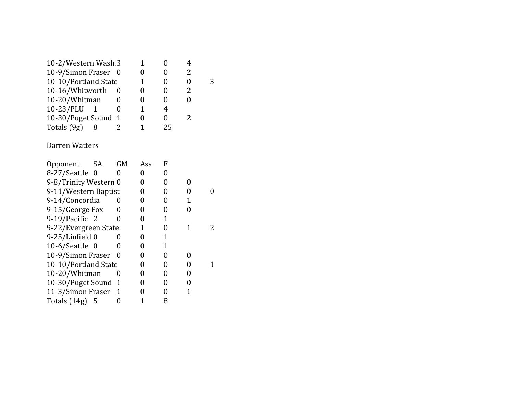| 10-2/Western Wash.3  |  |    |   |  |
|----------------------|--|----|---|--|
| 10-9/Simon Fraser 0  |  |    | 2 |  |
| 10-10/Portland State |  |    |   |  |
| 10-16/Whitworth      |  |    | 2 |  |
| 10-20/Whitman        |  |    |   |  |
| $10-23/PLU$          |  | 4  |   |  |
| 10-30/Puget Sound 1  |  | 0  |   |  |
| Totals (9g)          |  | 25 |   |  |
|                      |  |    |   |  |

#### Darren Watters

| Opponent              | <b>SA</b> | GM           | Ass | F |  |
|-----------------------|-----------|--------------|-----|---|--|
| 8-27/Seattle 0        |           |              |     |   |  |
| 9-8/Trinity Western 0 |           |              | 0   |   |  |
| 9-11/Western Baptist  |           |              |     |   |  |
| 9-14/Concordia        |           |              |     |   |  |
| 9-15/George Fox       |           |              |     |   |  |
| 9-19/Pacific 2        |           | 0            |     |   |  |
| 9-22/Evergreen State  |           |              |     |   |  |
| 9-25/Linfield 0       |           |              |     |   |  |
| $10-6$ /Seattle 0     |           |              | 0   |   |  |
| 10-9/Simon Fraser     |           | $\mathbf{0}$ |     |   |  |
| 10-10/Portland State  |           |              | 0   |   |  |
| 10-20/Whitman         |           | 0            | 0   |   |  |
| 10-30/Puget Sound 1   |           |              |     |   |  |
| 11-3/Simon Fraser     |           | -1           |     |   |  |
| Totals $(14g)$        | - 5       |              |     | 8 |  |
|                       |           |              |     |   |  |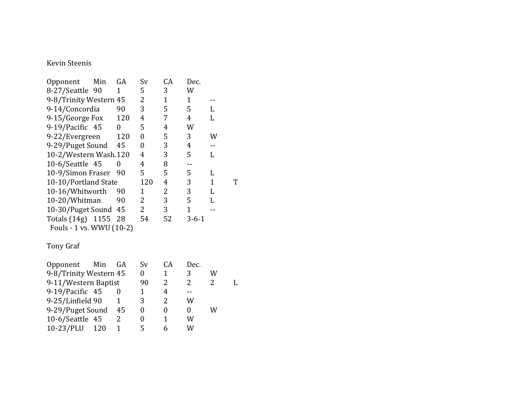#### Kevin Steenis

| Opponent                 | Min | GA  | Sv  | CА | Dec.        |   |   |
|--------------------------|-----|-----|-----|----|-------------|---|---|
| 8-27/Seattle 90          |     | 1   | 5   | 3  | W           |   |   |
| 9-8/Trinity Western 45   |     |     | 2   | 1  | 1           |   |   |
| 9-14/Concordia           |     | 90  | 3   | 5  | 5           | L |   |
| 9-15/George Fox          |     | 120 | 4   | 7  | 4           | L |   |
| 9-19/Pacific 45          |     | 0   | 5   | 4  | W           |   |   |
| 9-22/Evergreen           |     | 120 | 0   | 5  | 3           | W |   |
| 9-29/Puget Sound         |     | 45  | 0   | 3  | 4           |   |   |
| 10-2/Western Wash.120    |     |     | 4   | 3  | 5           | L |   |
| 10-6/Seattle 45          |     |     | 4   | 8  |             |   |   |
| 10-9/Simon Fraser        |     | -90 | 5   | 5  | 5           | L |   |
| 10-10/Portland State     |     |     | 120 | 4  | 3           | 1 | Т |
| 10-16/Whitworth          |     | 90  | 1   | 2  | 3           | L |   |
| 10-20/Whitman            |     | 90  | 2   | 3  | 5           | L |   |
| 10-30/Puget Sound 45     |     |     | 2   | 3  | 1           |   |   |
| Totals (14g) 1155 28     |     |     | 54  | 52 | $3 - 6 - 1$ |   |   |
| Fouls - 1 vs. WWU (10-2) |     |     |     |    |             |   |   |
|                          |     |     |     |    |             |   |   |

#### Tony Graf

| Opponent Min GA        |     | Sv | CA. | Dec. |   |  |
|------------------------|-----|----|-----|------|---|--|
| 9-8/Trinity Western 45 |     |    |     | 3    | W |  |
| 9-11/Western Baptist   |     | 90 |     |      |   |  |
| 9-19/Pacific 45        |     |    |     |      |   |  |
| 9-25/Linfield 90       |     | 3  |     | W    |   |  |
| 9-29/Puget Sound 45    |     |    |     |      | W |  |
| 10-6/Seattle $45$      |     |    |     | W    |   |  |
| $10-23$ /PLU           | 120 |    |     | W    |   |  |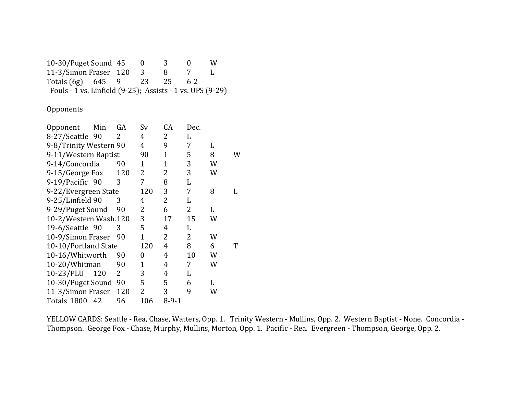10-30/Puget Sound 45 0 3 0 W<br>11-3/Simon Fraser 120 3 8 7 L 11-3/Simon Fraser 120 3 8 7 L Totals (6g) 645 9 23 25 6-2 Fouls - 1 vs. Linfield  $(9-25)$ ; Assists - 1 vs. UPS  $(9-29)$ 

**Opponents** 

| Min                  | GA  | Sv                                                                                              | CA             | Dec. |   |   |
|----------------------|-----|-------------------------------------------------------------------------------------------------|----------------|------|---|---|
| 8-27/Seattle 90      | 2   | 4                                                                                               | 2              | L    |   |   |
|                      |     | 4                                                                                               | 9              | 7    | L |   |
| 9-11/Western Baptist |     | 90                                                                                              | $\mathbf{1}$   | 5    | 8 | W |
| 9-14/Concordia       | 90  | 1                                                                                               | $\mathbf{1}$   | 3    | W |   |
| 9-15/George Fox      | 120 | 2                                                                                               | 2              | 3    | W |   |
| 9-19/Pacific 90      | 3   | 7                                                                                               | 8              | L    |   |   |
|                      |     | 120                                                                                             | 3              | 7    | 8 |   |
| 9-25/Linfield 90     | 3   | 4                                                                                               | 2              | L    |   |   |
| 9-29/Puget Sound     | 90  | 2                                                                                               | 6              | 2    | L |   |
|                      |     | 3                                                                                               | 17             | 15   | W |   |
| 19-6/Seattle 90      | 3   | 5                                                                                               | 4              | L    |   |   |
| 10-9/Simon Fraser    | 90  | 1                                                                                               | $\overline{2}$ | 2    | W |   |
| 10-10/Portland State |     | 120                                                                                             | 4              | 8    | 6 | T |
| 10-16/Whitworth      | 90  | 0                                                                                               | 4              | 10   | W |   |
| 10-20/Whitman        | 90  | 1                                                                                               | 4              | 7    | W |   |
| 120                  | 2   | 3                                                                                               | 4              | L    |   |   |
|                      |     | 5                                                                                               | 5              | 6    | L |   |
| 11-3/Simon Fraser    | 120 | 2                                                                                               | 3              | 9    | W |   |
| 42                   | 96  | 106                                                                                             | $8 - 9 - 1$    |      |   |   |
|                      |     | 9-8/Trinity Western 90<br>9-22/Evergreen State<br>10-2/Western Wash.120<br>10-30/Puget Sound 90 |                |      |   |   |

YELLOW CARDS: Seattle - Rea, Chase, Watters, Opp. 1. Trinity Western - Mullins, Opp. 2. Western Baptist - None. Concordia -Thompson. George Fox - Chase, Murphy, Mullins, Morton, Opp. 1. Pacific - Rea. Evergreen - Thompson, George, Opp. 2.